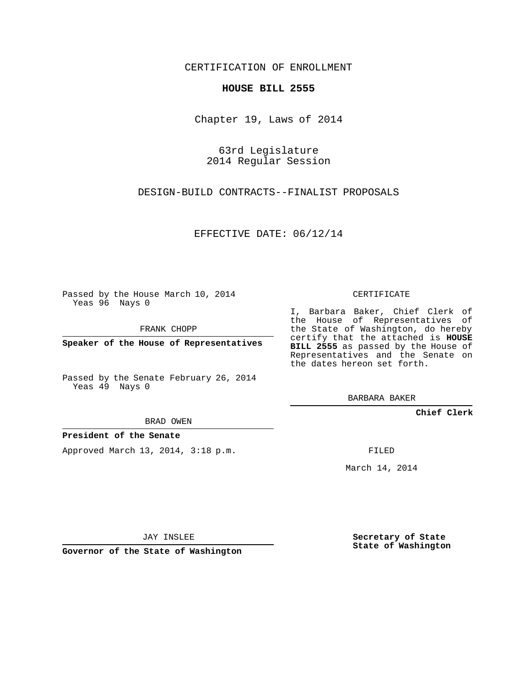CERTIFICATION OF ENROLLMENT

### **HOUSE BILL 2555**

Chapter 19, Laws of 2014

63rd Legislature 2014 Regular Session

DESIGN-BUILD CONTRACTS--FINALIST PROPOSALS

EFFECTIVE DATE: 06/12/14

Passed by the House March 10, 2014 Yeas 96 Nays 0

FRANK CHOPP

**Speaker of the House of Representatives**

Passed by the Senate February 26, 2014 Yeas 49 Nays 0

BRAD OWEN

## **President of the Senate**

Approved March 13, 2014, 3:18 p.m.

CERTIFICATE

I, Barbara Baker, Chief Clerk of the House of Representatives of the State of Washington, do hereby certify that the attached is **HOUSE BILL 2555** as passed by the House of Representatives and the Senate on the dates hereon set forth.

BARBARA BAKER

**Chief Clerk**

FILED

March 14, 2014

JAY INSLEE

**Governor of the State of Washington**

**Secretary of State State of Washington**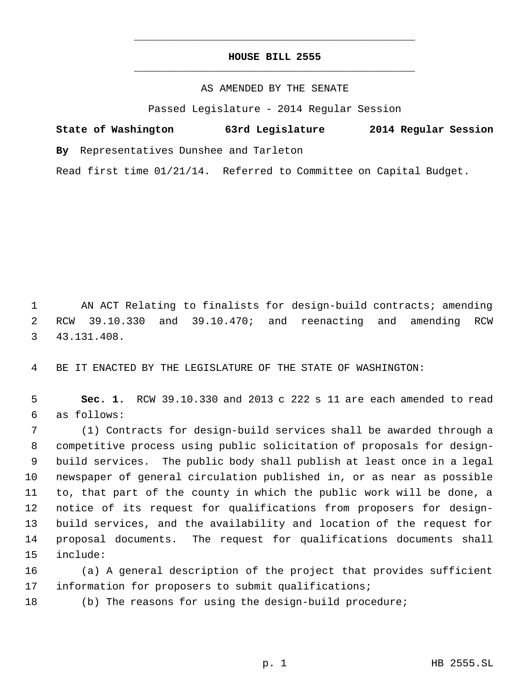## **HOUSE BILL 2555** \_\_\_\_\_\_\_\_\_\_\_\_\_\_\_\_\_\_\_\_\_\_\_\_\_\_\_\_\_\_\_\_\_\_\_\_\_\_\_\_\_\_\_\_\_

\_\_\_\_\_\_\_\_\_\_\_\_\_\_\_\_\_\_\_\_\_\_\_\_\_\_\_\_\_\_\_\_\_\_\_\_\_\_\_\_\_\_\_\_\_

### AS AMENDED BY THE SENATE

Passed Legislature - 2014 Regular Session

# **State of Washington 63rd Legislature 2014 Regular Session**

**By** Representatives Dunshee and Tarleton

Read first time 01/21/14. Referred to Committee on Capital Budget.

 AN ACT Relating to finalists for design-build contracts; amending RCW 39.10.330 and 39.10.470; and reenacting and amending RCW 43.131.408.

BE IT ENACTED BY THE LEGISLATURE OF THE STATE OF WASHINGTON:

 **Sec. 1.** RCW 39.10.330 and 2013 c 222 s 11 are each amended to read as follows:

 (1) Contracts for design-build services shall be awarded through a competitive process using public solicitation of proposals for design- build services. The public body shall publish at least once in a legal newspaper of general circulation published in, or as near as possible to, that part of the county in which the public work will be done, a notice of its request for qualifications from proposers for design- build services, and the availability and location of the request for proposal documents. The request for qualifications documents shall include:

 (a) A general description of the project that provides sufficient information for proposers to submit qualifications;

(b) The reasons for using the design-build procedure;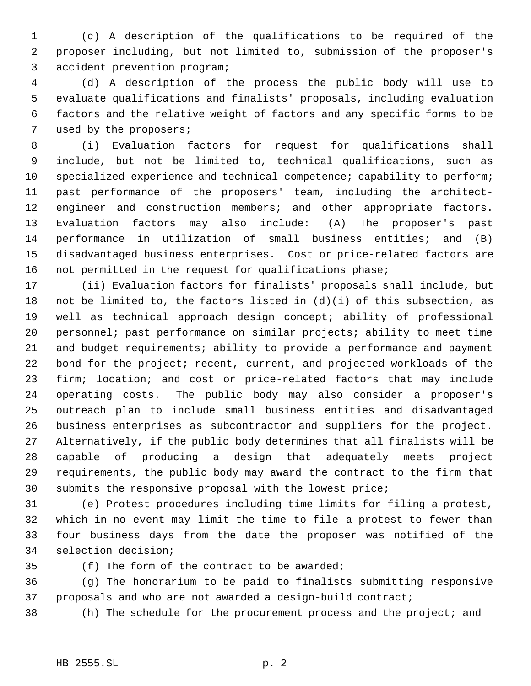(c) A description of the qualifications to be required of the proposer including, but not limited to, submission of the proposer's accident prevention program;

 (d) A description of the process the public body will use to evaluate qualifications and finalists' proposals, including evaluation factors and the relative weight of factors and any specific forms to be used by the proposers;

 (i) Evaluation factors for request for qualifications shall include, but not be limited to, technical qualifications, such as 10 specialized experience and technical competence; capability to perform; past performance of the proposers' team, including the architect-12 engineer and construction members; and other appropriate factors. Evaluation factors may also include: (A) The proposer's past performance in utilization of small business entities; and (B) disadvantaged business enterprises. Cost or price-related factors are not permitted in the request for qualifications phase;

 (ii) Evaluation factors for finalists' proposals shall include, but 18 not be limited to, the factors listed in  $(d)(i)$  of this subsection, as well as technical approach design concept; ability of professional personnel; past performance on similar projects; ability to meet time and budget requirements; ability to provide a performance and payment bond for the project; recent, current, and projected workloads of the firm; location; and cost or price-related factors that may include operating costs. The public body may also consider a proposer's outreach plan to include small business entities and disadvantaged business enterprises as subcontractor and suppliers for the project. Alternatively, if the public body determines that all finalists will be capable of producing a design that adequately meets project requirements, the public body may award the contract to the firm that submits the responsive proposal with the lowest price;

 (e) Protest procedures including time limits for filing a protest, which in no event may limit the time to file a protest to fewer than four business days from the date the proposer was notified of the selection decision;

(f) The form of the contract to be awarded;

 (g) The honorarium to be paid to finalists submitting responsive proposals and who are not awarded a design-build contract;

(h) The schedule for the procurement process and the project; and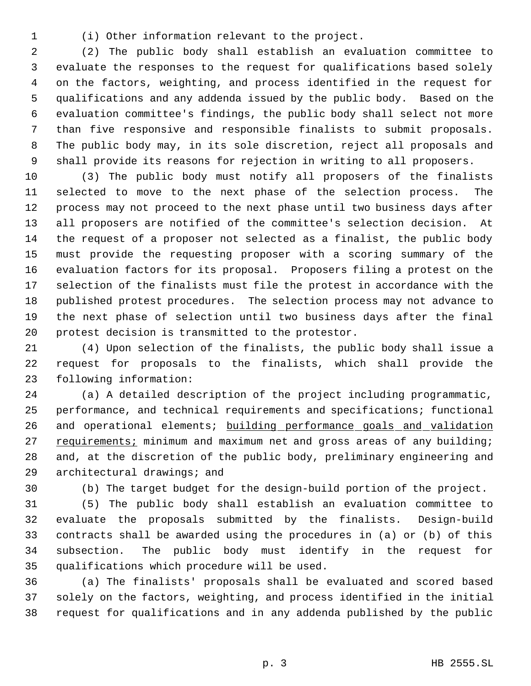(i) Other information relevant to the project.

 (2) The public body shall establish an evaluation committee to evaluate the responses to the request for qualifications based solely on the factors, weighting, and process identified in the request for qualifications and any addenda issued by the public body. Based on the evaluation committee's findings, the public body shall select not more than five responsive and responsible finalists to submit proposals. The public body may, in its sole discretion, reject all proposals and shall provide its reasons for rejection in writing to all proposers.

 (3) The public body must notify all proposers of the finalists selected to move to the next phase of the selection process. The process may not proceed to the next phase until two business days after all proposers are notified of the committee's selection decision. At the request of a proposer not selected as a finalist, the public body must provide the requesting proposer with a scoring summary of the evaluation factors for its proposal. Proposers filing a protest on the selection of the finalists must file the protest in accordance with the published protest procedures. The selection process may not advance to the next phase of selection until two business days after the final protest decision is transmitted to the protestor.

 (4) Upon selection of the finalists, the public body shall issue a request for proposals to the finalists, which shall provide the following information:

 (a) A detailed description of the project including programmatic, performance, and technical requirements and specifications; functional 26 and operational elements; building performance goals and validation 27 requirements; minimum and maximum net and gross areas of any building; and, at the discretion of the public body, preliminary engineering and architectural drawings; and

(b) The target budget for the design-build portion of the project.

 (5) The public body shall establish an evaluation committee to evaluate the proposals submitted by the finalists. Design-build contracts shall be awarded using the procedures in (a) or (b) of this subsection. The public body must identify in the request for qualifications which procedure will be used.

 (a) The finalists' proposals shall be evaluated and scored based solely on the factors, weighting, and process identified in the initial request for qualifications and in any addenda published by the public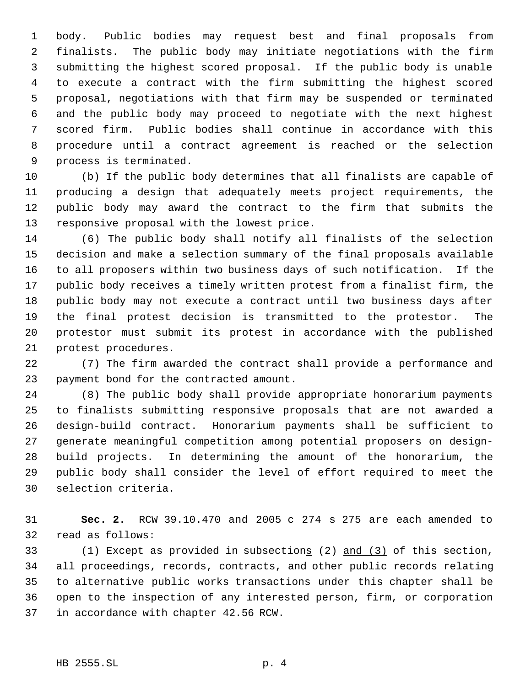body. Public bodies may request best and final proposals from finalists. The public body may initiate negotiations with the firm submitting the highest scored proposal. If the public body is unable to execute a contract with the firm submitting the highest scored proposal, negotiations with that firm may be suspended or terminated and the public body may proceed to negotiate with the next highest scored firm. Public bodies shall continue in accordance with this procedure until a contract agreement is reached or the selection process is terminated.

 (b) If the public body determines that all finalists are capable of producing a design that adequately meets project requirements, the public body may award the contract to the firm that submits the responsive proposal with the lowest price.

 (6) The public body shall notify all finalists of the selection decision and make a selection summary of the final proposals available to all proposers within two business days of such notification. If the public body receives a timely written protest from a finalist firm, the public body may not execute a contract until two business days after the final protest decision is transmitted to the protestor. The protestor must submit its protest in accordance with the published protest procedures.

 (7) The firm awarded the contract shall provide a performance and payment bond for the contracted amount.

 (8) The public body shall provide appropriate honorarium payments to finalists submitting responsive proposals that are not awarded a design-build contract. Honorarium payments shall be sufficient to generate meaningful competition among potential proposers on design- build projects. In determining the amount of the honorarium, the public body shall consider the level of effort required to meet the selection criteria.

 **Sec. 2.** RCW 39.10.470 and 2005 c 274 s 275 are each amended to read as follows:

 (1) Except as provided in subsections (2) and (3) of this section, all proceedings, records, contracts, and other public records relating to alternative public works transactions under this chapter shall be open to the inspection of any interested person, firm, or corporation in accordance with chapter 42.56 RCW.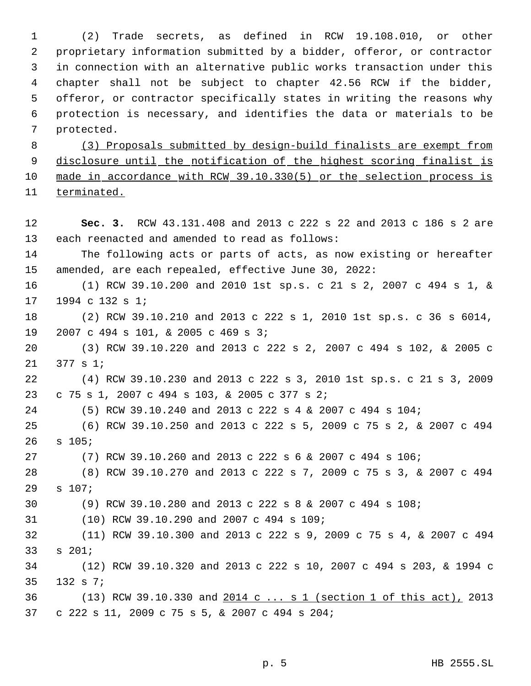(2) Trade secrets, as defined in RCW 19.108.010, or other proprietary information submitted by a bidder, offeror, or contractor in connection with an alternative public works transaction under this chapter shall not be subject to chapter 42.56 RCW if the bidder, offeror, or contractor specifically states in writing the reasons why protection is necessary, and identifies the data or materials to be protected.

 (3) Proposals submitted by design-build finalists are exempt from 9 disclosure until the notification of the highest scoring finalist is made in accordance with RCW 39.10.330(5) or the selection process is terminated.

 **Sec. 3.** RCW 43.131.408 and 2013 c 222 s 22 and 2013 c 186 s 2 are each reenacted and amended to read as follows: The following acts or parts of acts, as now existing or hereafter amended, are each repealed, effective June 30, 2022: (1) RCW 39.10.200 and 2010 1st sp.s. c 21 s 2, 2007 c 494 s 1, & 1994 c 132 s 1; (2) RCW 39.10.210 and 2013 c 222 s 1, 2010 1st sp.s. c 36 s 6014, 2007 c 494 s 101, & 2005 c 469 s 3; (3) RCW 39.10.220 and 2013 c 222 s 2, 2007 c 494 s 102, & 2005 c 377 s 1; (4) RCW 39.10.230 and 2013 c 222 s 3, 2010 1st sp.s. c 21 s 3, 2009 c 75 s 1, 2007 c 494 s 103, & 2005 c 377 s 2; (5) RCW 39.10.240 and 2013 c 222 s 4 & 2007 c 494 s 104; (6) RCW 39.10.250 and 2013 c 222 s 5, 2009 c 75 s 2, & 2007 c 494 s 105; (7) RCW 39.10.260 and 2013 c 222 s 6 & 2007 c 494 s 106; (8) RCW 39.10.270 and 2013 c 222 s 7, 2009 c 75 s 3, & 2007 c 494 s 107; (9) RCW 39.10.280 and 2013 c 222 s 8 & 2007 c 494 s 108; (10) RCW 39.10.290 and 2007 c 494 s 109; (11) RCW 39.10.300 and 2013 c 222 s 9, 2009 c 75 s 4, & 2007 c 494 s 201; (12) RCW 39.10.320 and 2013 c 222 s 10, 2007 c 494 s 203, & 1994 c 132 s 7; 36 (13) RCW 39.10.330 and 2014 c ... s 1 (section 1 of this act), 2013 c 222 s 11, 2009 c 75 s 5, & 2007 c 494 s 204;